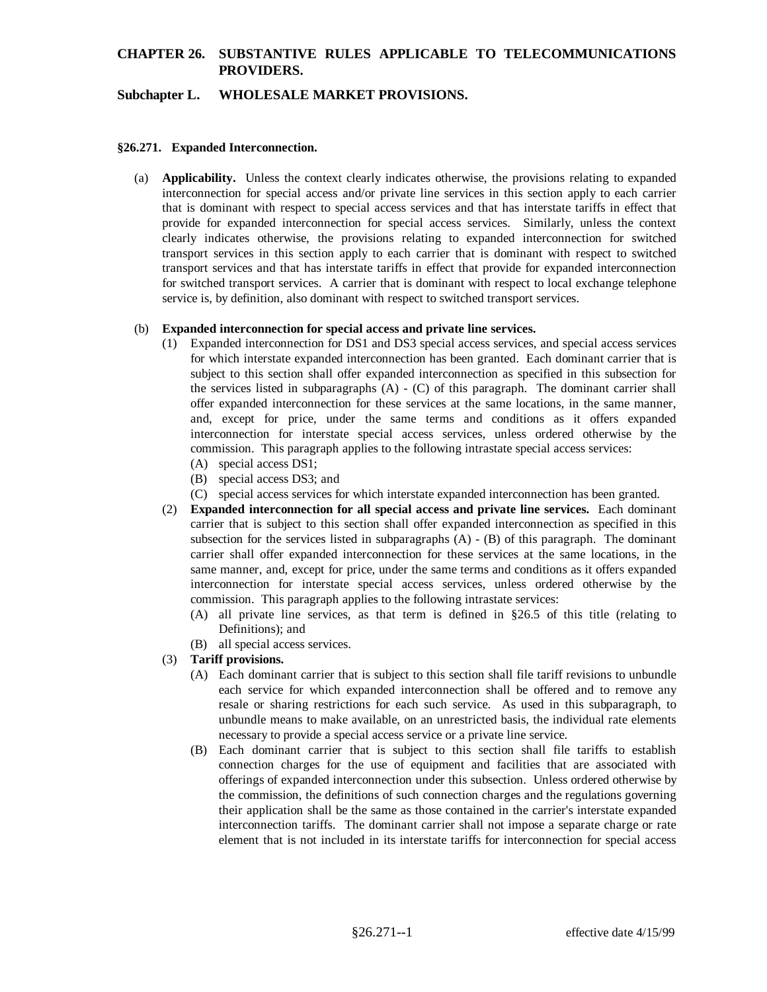## **Subchapter L. WHOLESALE MARKET PROVISIONS.**

### **§26.271. Expanded Interconnection.**

(a) **Applicability.** Unless the context clearly indicates otherwise, the provisions relating to expanded interconnection for special access and/or private line services in this section apply to each carrier that is dominant with respect to special access services and that has interstate tariffs in effect that provide for expanded interconnection for special access services. Similarly, unless the context clearly indicates otherwise, the provisions relating to expanded interconnection for switched transport services in this section apply to each carrier that is dominant with respect to switched transport services and that has interstate tariffs in effect that provide for expanded interconnection for switched transport services. A carrier that is dominant with respect to local exchange telephone service is, by definition, also dominant with respect to switched transport services.

### (b) **Expanded interconnection for special access and private line services.**

- (1) Expanded interconnection for DS1 and DS3 special access services, and special access services for which interstate expanded interconnection has been granted. Each dominant carrier that is subject to this section shall offer expanded interconnection as specified in this subsection for the services listed in subparagraphs (A) - (C) of this paragraph. The dominant carrier shall offer expanded interconnection for these services at the same locations, in the same manner, and, except for price, under the same terms and conditions as it offers expanded interconnection for interstate special access services, unless ordered otherwise by the commission. This paragraph applies to the following intrastate special access services:
	- (A) special access DS1;
	- (B) special access DS3; and
	- (C) special access services for which interstate expanded interconnection has been granted.
- (2) **Expanded interconnection for all special access and private line services.** Each dominant carrier that is subject to this section shall offer expanded interconnection as specified in this subsection for the services listed in subparagraphs (A) - (B) of this paragraph. The dominant carrier shall offer expanded interconnection for these services at the same locations, in the same manner, and, except for price, under the same terms and conditions as it offers expanded interconnection for interstate special access services, unless ordered otherwise by the commission. This paragraph applies to the following intrastate services:
	- (A) all private line services, as that term is defined in §26.5 of this title (relating to Definitions); and
	- (B) all special access services.
- (3) **Tariff provisions.**
	- (A) Each dominant carrier that is subject to this section shall file tariff revisions to unbundle each service for which expanded interconnection shall be offered and to remove any resale or sharing restrictions for each such service. As used in this subparagraph, to unbundle means to make available, on an unrestricted basis, the individual rate elements necessary to provide a special access service or a private line service.
	- (B) Each dominant carrier that is subject to this section shall file tariffs to establish connection charges for the use of equipment and facilities that are associated with offerings of expanded interconnection under this subsection. Unless ordered otherwise by the commission, the definitions of such connection charges and the regulations governing their application shall be the same as those contained in the carrier's interstate expanded interconnection tariffs. The dominant carrier shall not impose a separate charge or rate element that is not included in its interstate tariffs for interconnection for special access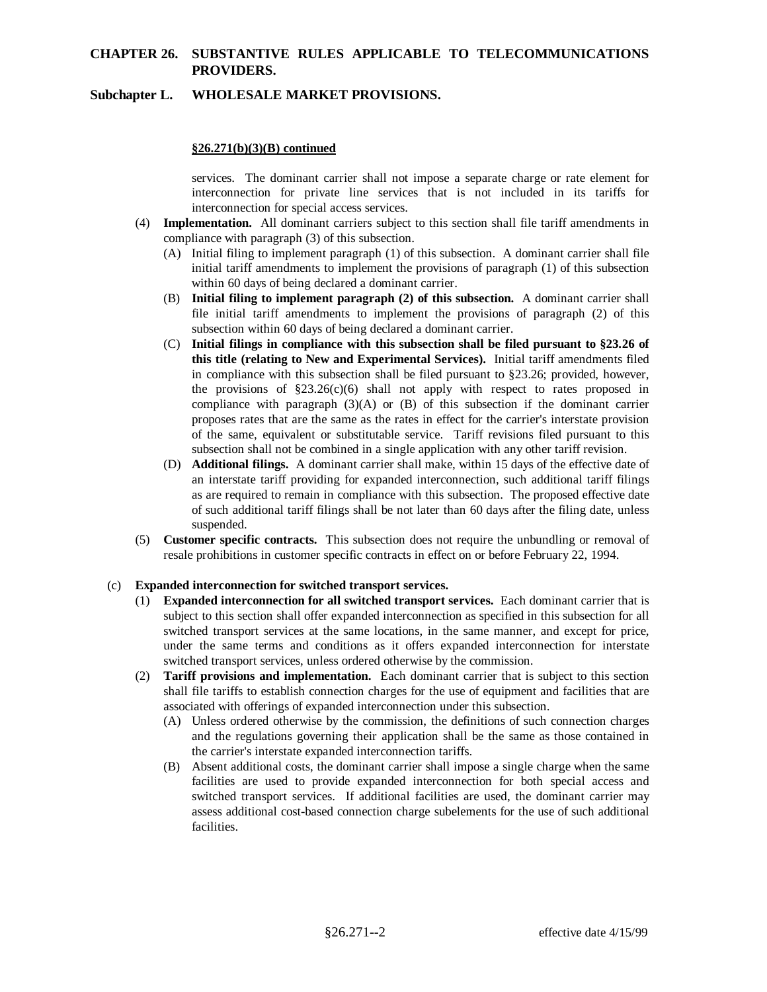## **Subchapter L. WHOLESALE MARKET PROVISIONS.**

### **§26.271(b)(3)(B) continued**

services. The dominant carrier shall not impose a separate charge or rate element for interconnection for private line services that is not included in its tariffs for interconnection for special access services.

- (4) **Implementation.** All dominant carriers subject to this section shall file tariff amendments in compliance with paragraph (3) of this subsection.
	- (A) Initial filing to implement paragraph (1) of this subsection. A dominant carrier shall file initial tariff amendments to implement the provisions of paragraph (1) of this subsection within 60 days of being declared a dominant carrier.
	- (B) **Initial filing to implement paragraph (2) of this subsection.** A dominant carrier shall file initial tariff amendments to implement the provisions of paragraph (2) of this subsection within 60 days of being declared a dominant carrier.
	- (C) **Initial filings in compliance with this subsection shall be filed pursuant to §23.26 of this title (relating to New and Experimental Services).** Initial tariff amendments filed in compliance with this subsection shall be filed pursuant to §23.26; provided, however, the provisions of  $\S 23.26(c)(6)$  shall not apply with respect to rates proposed in compliance with paragraph  $(3)(A)$  or  $(B)$  of this subsection if the dominant carrier proposes rates that are the same as the rates in effect for the carrier's interstate provision of the same, equivalent or substitutable service. Tariff revisions filed pursuant to this subsection shall not be combined in a single application with any other tariff revision.
	- (D) **Additional filings.** A dominant carrier shall make, within 15 days of the effective date of an interstate tariff providing for expanded interconnection, such additional tariff filings as are required to remain in compliance with this subsection. The proposed effective date of such additional tariff filings shall be not later than 60 days after the filing date, unless suspended.
- (5) **Customer specific contracts.** This subsection does not require the unbundling or removal of resale prohibitions in customer specific contracts in effect on or before February 22, 1994.

#### (c) **Expanded interconnection for switched transport services.**

- (1) **Expanded interconnection for all switched transport services.** Each dominant carrier that is subject to this section shall offer expanded interconnection as specified in this subsection for all switched transport services at the same locations, in the same manner, and except for price, under the same terms and conditions as it offers expanded interconnection for interstate switched transport services, unless ordered otherwise by the commission.
- (2) **Tariff provisions and implementation.** Each dominant carrier that is subject to this section shall file tariffs to establish connection charges for the use of equipment and facilities that are associated with offerings of expanded interconnection under this subsection.
	- (A) Unless ordered otherwise by the commission, the definitions of such connection charges and the regulations governing their application shall be the same as those contained in the carrier's interstate expanded interconnection tariffs.
	- (B) Absent additional costs, the dominant carrier shall impose a single charge when the same facilities are used to provide expanded interconnection for both special access and switched transport services. If additional facilities are used, the dominant carrier may assess additional cost-based connection charge subelements for the use of such additional facilities.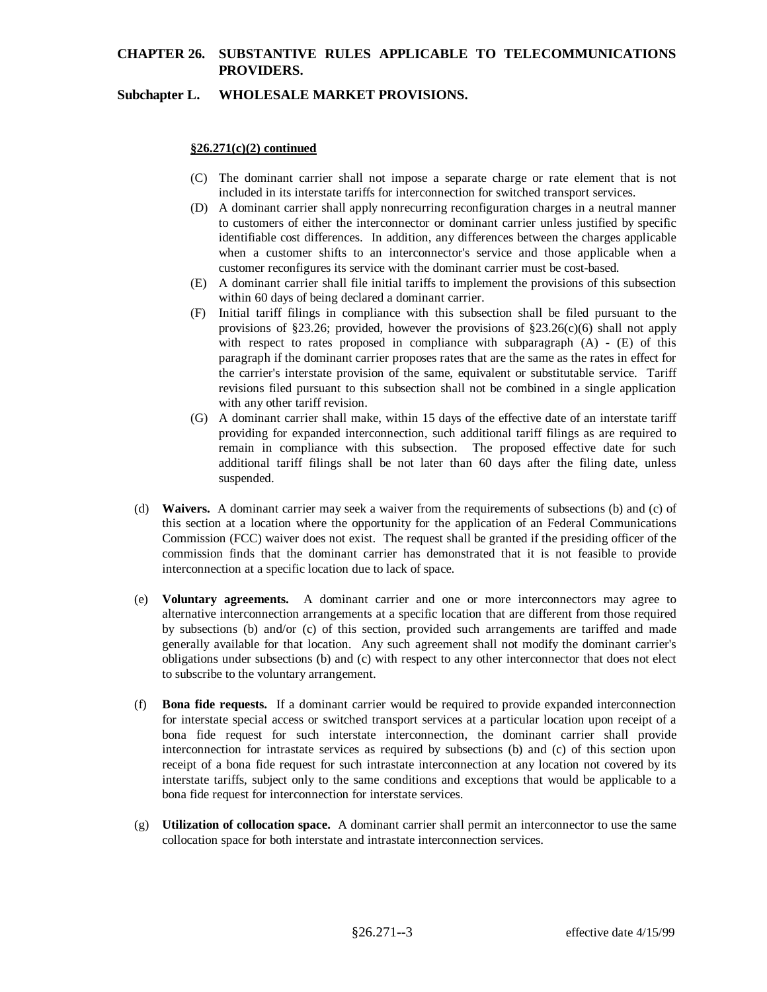## **Subchapter L. WHOLESALE MARKET PROVISIONS.**

### **§26.271(c)(2) continued**

- (C) The dominant carrier shall not impose a separate charge or rate element that is not included in its interstate tariffs for interconnection for switched transport services.
- (D) A dominant carrier shall apply nonrecurring reconfiguration charges in a neutral manner to customers of either the interconnector or dominant carrier unless justified by specific identifiable cost differences. In addition, any differences between the charges applicable when a customer shifts to an interconnector's service and those applicable when a customer reconfigures its service with the dominant carrier must be cost-based.
- (E) A dominant carrier shall file initial tariffs to implement the provisions of this subsection within 60 days of being declared a dominant carrier.
- (F) Initial tariff filings in compliance with this subsection shall be filed pursuant to the provisions of §23.26; provided, however the provisions of §23.26(c)(6) shall not apply with respect to rates proposed in compliance with subparagraph  $(A)$  -  $(E)$  of this paragraph if the dominant carrier proposes rates that are the same as the rates in effect for the carrier's interstate provision of the same, equivalent or substitutable service. Tariff revisions filed pursuant to this subsection shall not be combined in a single application with any other tariff revision.
- (G) A dominant carrier shall make, within 15 days of the effective date of an interstate tariff providing for expanded interconnection, such additional tariff filings as are required to remain in compliance with this subsection. The proposed effective date for such additional tariff filings shall be not later than 60 days after the filing date, unless suspended.
- (d) **Waivers.** A dominant carrier may seek a waiver from the requirements of subsections (b) and (c) of this section at a location where the opportunity for the application of an Federal Communications Commission (FCC) waiver does not exist. The request shall be granted if the presiding officer of the commission finds that the dominant carrier has demonstrated that it is not feasible to provide interconnection at a specific location due to lack of space.
- (e) **Voluntary agreements.** A dominant carrier and one or more interconnectors may agree to alternative interconnection arrangements at a specific location that are different from those required by subsections (b) and/or (c) of this section, provided such arrangements are tariffed and made generally available for that location. Any such agreement shall not modify the dominant carrier's obligations under subsections (b) and (c) with respect to any other interconnector that does not elect to subscribe to the voluntary arrangement.
- (f) **Bona fide requests.** If a dominant carrier would be required to provide expanded interconnection for interstate special access or switched transport services at a particular location upon receipt of a bona fide request for such interstate interconnection, the dominant carrier shall provide interconnection for intrastate services as required by subsections (b) and (c) of this section upon receipt of a bona fide request for such intrastate interconnection at any location not covered by its interstate tariffs, subject only to the same conditions and exceptions that would be applicable to a bona fide request for interconnection for interstate services.
- (g) **Utilization of collocation space.** A dominant carrier shall permit an interconnector to use the same collocation space for both interstate and intrastate interconnection services.